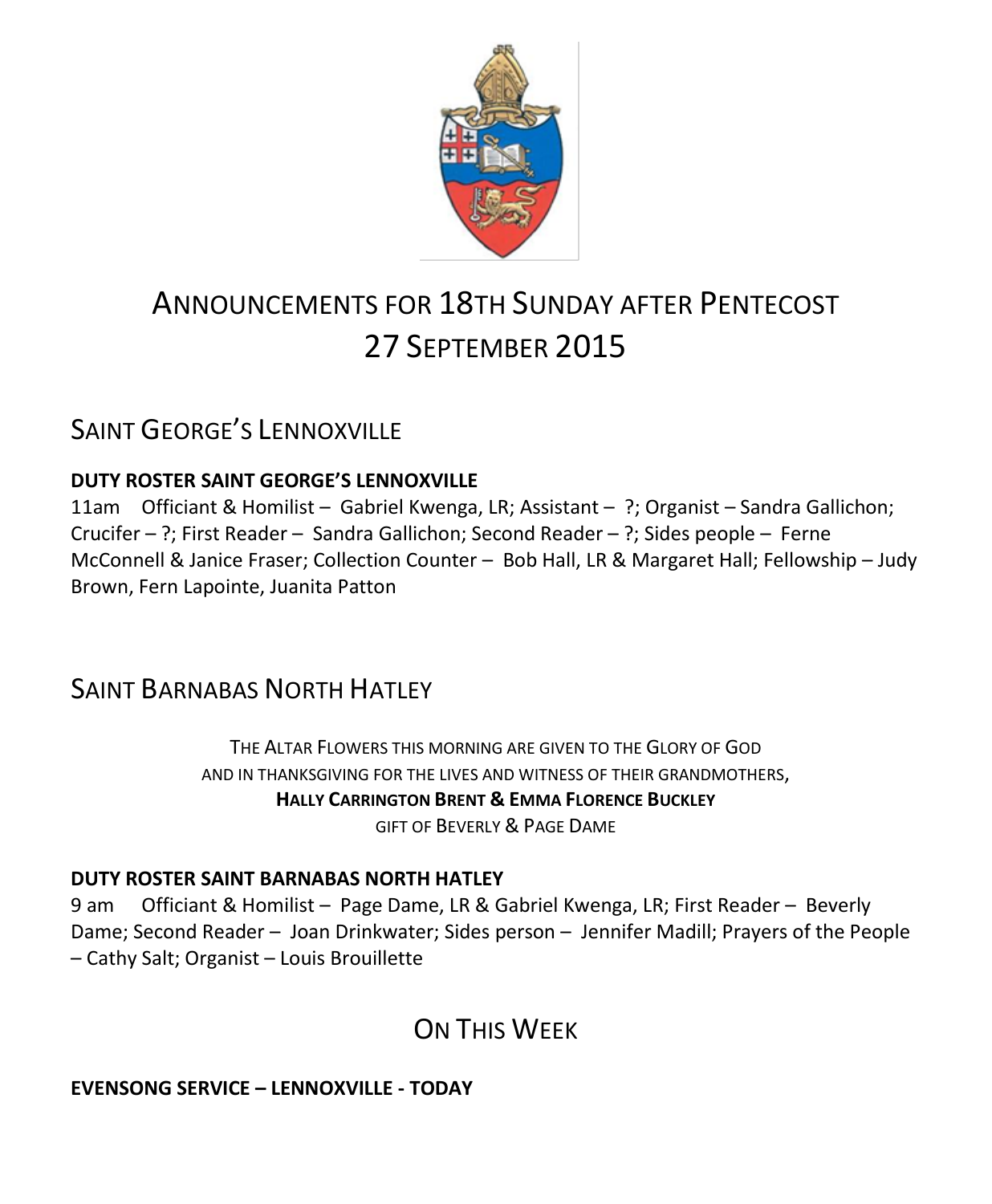

# ANNOUNCEMENTS FOR 18TH SUNDAY AFTER PENTECOST 27 SEPTEMBER 2015

# SAINT GEORGE'S LENNOXVILLE

### **DUTY ROSTER SAINT GEORGE'S LENNOXVILLE**

11am Officiant & Homilist – Gabriel Kwenga, LR; Assistant – ?; Organist – Sandra Gallichon; Crucifer – ?; First Reader – Sandra Gallichon; Second Reader – ?; Sides people – Ferne McConnell & Janice Fraser; Collection Counter – Bob Hall, LR & Margaret Hall; Fellowship – Judy Brown, Fern Lapointe, Juanita Patton

# SAINT BARNABAS NORTH HATLEY

THE ALTAR FLOWERS THIS MORNING ARE GIVEN TO THE GLORY OF GOD AND IN THANKSGIVING FOR THE LIVES AND WITNESS OF THEIR GRANDMOTHERS, **HALLY CARRINGTON BRENT & EMMA FLORENCE BUCKLEY** GIFT OF BEVERLY & PAGE DAME

#### **DUTY ROSTER SAINT BARNABAS NORTH HATLEY**

9 am Officiant & Homilist – Page Dame, LR & Gabriel Kwenga, LR; First Reader – Beverly Dame; Second Reader – Joan Drinkwater; Sides person – Jennifer Madill; Prayers of the People – Cathy Salt; Organist – Louis Brouillette

# ON THIS WFFK

### **EVENSONG SERVICE – LENNOXVILLE - TODAY**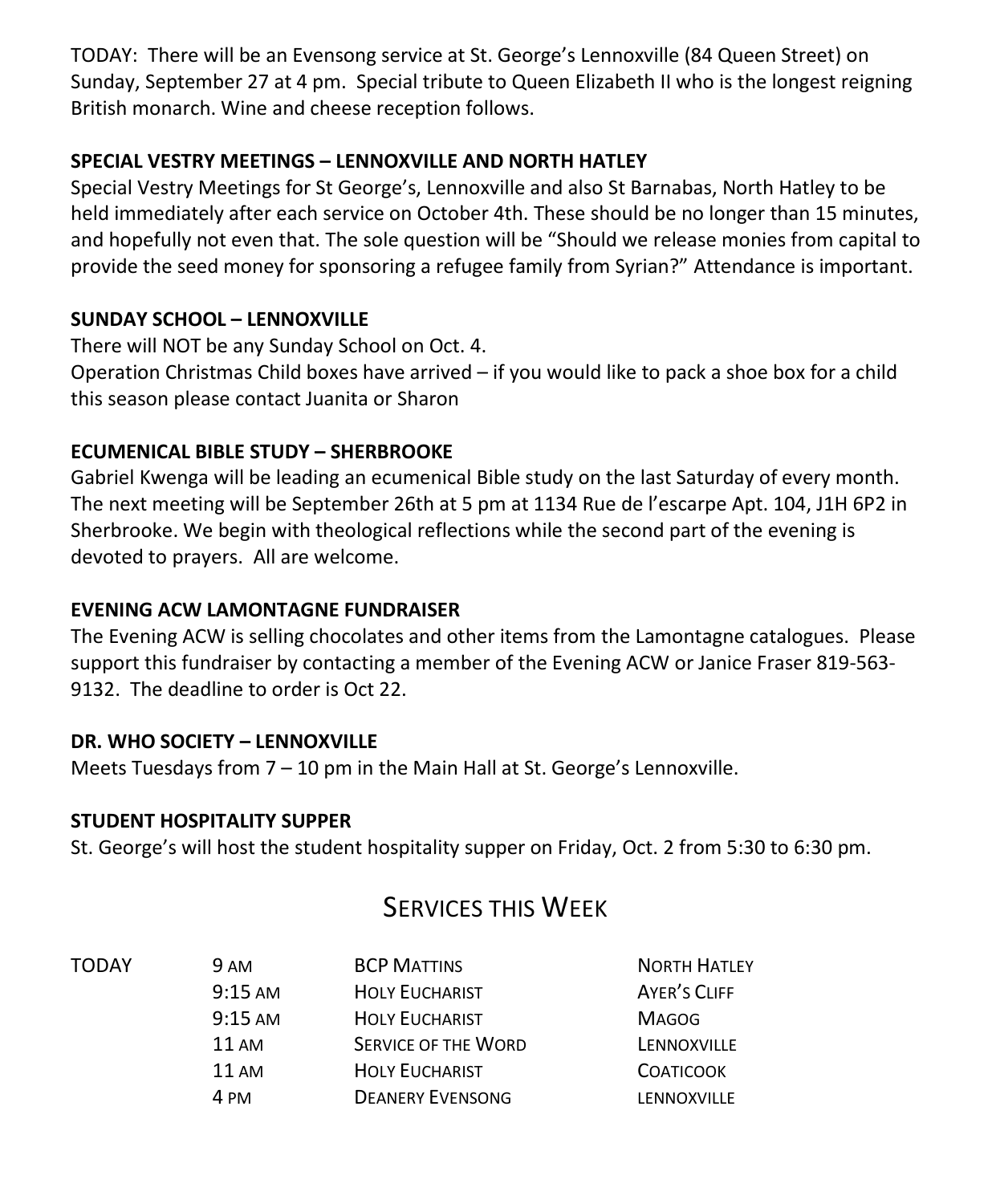TODAY: There will be an Evensong service at St. George's Lennoxville (84 Queen Street) on Sunday, September 27 at 4 pm. Special tribute to Queen Elizabeth II who is the longest reigning British monarch. Wine and cheese reception follows.

#### **SPECIAL VESTRY MEETINGS – LENNOXVILLE AND NORTH HATLEY**

Special Vestry Meetings for St George's, Lennoxville and also St Barnabas, North Hatley to be held immediately after each service on October 4th. These should be no longer than 15 minutes, and hopefully not even that. The sole question will be "Should we release monies from capital to provide the seed money for sponsoring a refugee family from Syrian?" Attendance is important.

### **SUNDAY SCHOOL – LENNOXVILLE**

There will NOT be any Sunday School on Oct. 4. Operation Christmas Child boxes have arrived – if you would like to pack a shoe box for a child this season please contact Juanita or Sharon

### **ECUMENICAL BIBLE STUDY – SHERBROOKE**

Gabriel Kwenga will be leading an ecumenical Bible study on the last Saturday of every month. The next meeting will be September 26th at 5 pm at 1134 Rue de l'escarpe Apt. 104, J1H 6P2 in Sherbrooke. We begin with theological reflections while the second part of the evening is devoted to prayers. All are welcome.

#### **EVENING ACW LAMONTAGNE FUNDRAISER**

The Evening ACW is selling chocolates and other items from the Lamontagne catalogues. Please support this fundraiser by contacting a member of the Evening ACW or Janice Fraser 819-563- 9132. The deadline to order is Oct 22.

#### **DR. WHO SOCIETY – LENNOXVILLE**

Meets Tuesdays from 7 – 10 pm in the Main Hall at St. George's Lennoxville.

#### **STUDENT HOSPITALITY SUPPER**

St. George's will host the student hospitality supper on Friday, Oct. 2 from 5:30 to 6:30 pm.

# SERVICES THIS WEEK

| TODAY | <b>9 AM</b>       | <b>BCP MATTINS</b>         | <b>NORTH HATLEY</b> |
|-------|-------------------|----------------------------|---------------------|
|       | $9:15 \text{ AM}$ | <b>HOLY EUCHARIST</b>      | AYER'S CLIFF        |
|       | $9:15 \text{ AM}$ | <b>HOLY EUCHARIST</b>      | <b>MAGOG</b>        |
|       | $11 \text{ AM}$   | <b>SERVICE OF THE WORD</b> | LENNOXVILLE         |
|       | $11 \text{ AM}$   | <b>HOLY EUCHARIST</b>      | <b>COATICOOK</b>    |
|       | 4 PM              | <b>DEANERY EVENSONG</b>    | LENNOXVILLE         |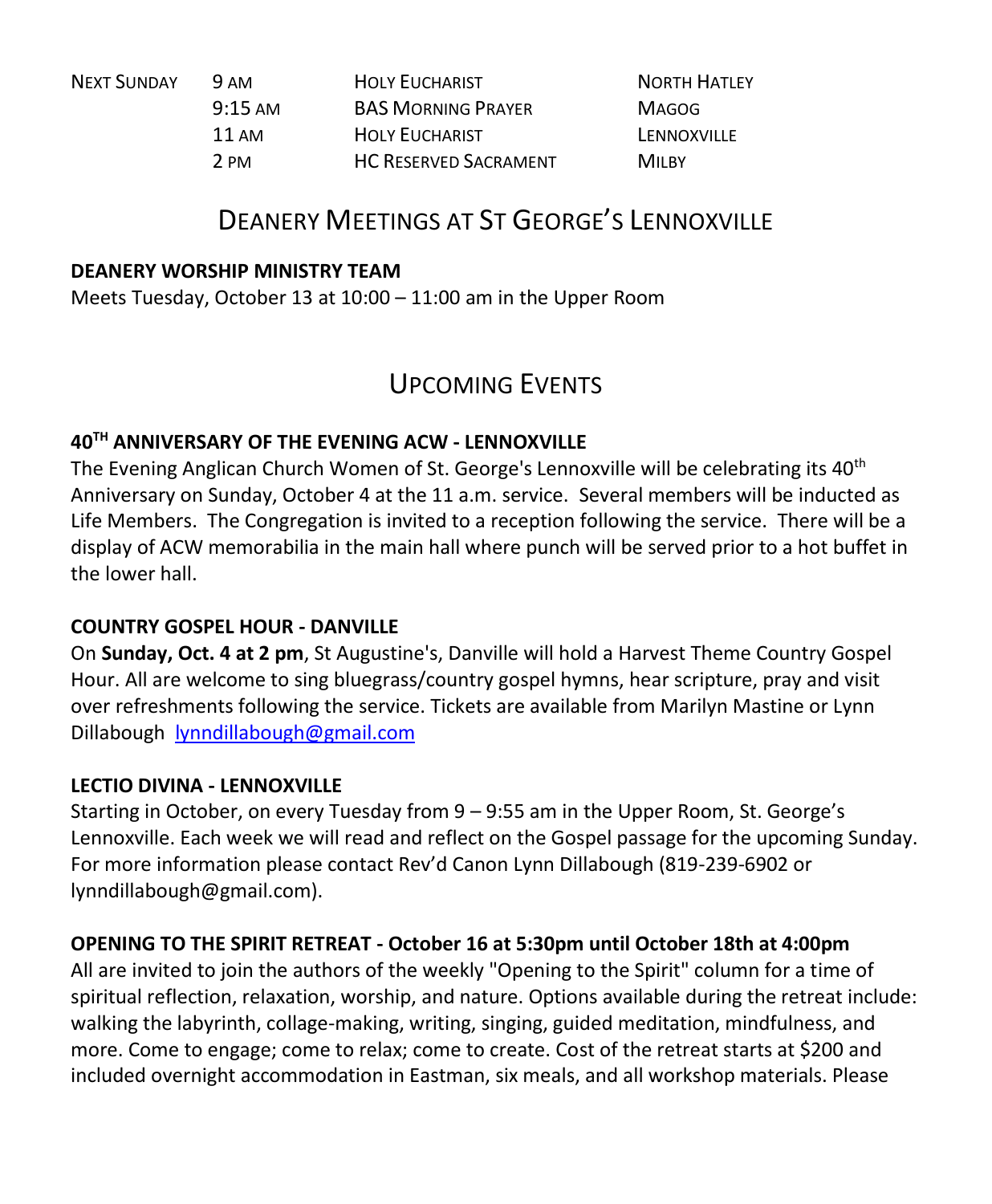| <b>NEXT SUNDAY</b> | 9 AM              | <b>HOLY EUCHARIST</b>        | <b>NORTH HATLEY</b> |
|--------------------|-------------------|------------------------------|---------------------|
|                    | $9:15 \text{ AM}$ | <b>BAS MORNING PRAYER</b>    | <b>MAGOG</b>        |
|                    | 11 AM             | <b>HOLY EUCHARIST</b>        | LENNOXVILLE         |
|                    | 2 PM              | <b>HC RESERVED SACRAMENT</b> | M <sub>II BY</sub>  |

# DEANERY MEETINGS AT ST GEORGE'S LENNOXVILLE

#### **DEANERY WORSHIP MINISTRY TEAM**

Meets Tuesday, October 13 at 10:00 – 11:00 am in the Upper Room

### UPCOMING EVENTS

### **40TH ANNIVERSARY OF THE EVENING ACW - LENNOXVILLE**

The Evening Anglican Church Women of St. George's Lennoxville will be celebrating its 40<sup>th</sup> Anniversary on Sunday, October 4 at the 11 a.m. service. Several members will be inducted as Life Members. The Congregation is invited to a reception following the service. There will be a display of ACW memorabilia in the main hall where punch will be served prior to a hot buffet in the lower hall.

#### **COUNTRY GOSPEL HOUR - DANVILLE**

On **Sunday, Oct. 4 at 2 pm**, St Augustine's, Danville will hold a Harvest Theme Country Gospel Hour. All are welcome to sing bluegrass/country gospel hymns, hear scripture, pray and visit over refreshments following the service. Tickets are available from Marilyn Mastine or Lynn Dillabough [lynndillabough@gmail.com](https://webmail.ubishops.ca/owa/redir.aspx?SURL=LJSGhpVMwL0dRQzFjqMxTHTRG7fUsFl3n2l0xYG3EhrjE-OcXb_SCG0AYQBpAGwAdABvADoAbAB5AG4AbgBkAGkAbABsAGEAYgBvAHUAZwBoAEAAZwBtAGEAaQBsAC4AYwBvAG0A&URL=mailto%3alynndillabough%40gmail.com)

#### **LECTIO DIVINA - LENNOXVILLE**

Starting in October, on every Tuesday from 9 – 9:55 am in the Upper Room, St. George's Lennoxville. Each week we will read and reflect on the Gospel passage for the upcoming Sunday. For more information please contact Rev'd Canon Lynn Dillabough (819-239-6902 or lynndillabough@gmail.com).

#### **OPENING TO THE SPIRIT RETREAT - October 16 at 5:30pm until October 18th at 4:00pm**

All are invited to join the authors of the weekly "Opening to the Spirit" column for a time of spiritual reflection, relaxation, worship, and nature. Options available during the retreat include: walking the labyrinth, collage-making, writing, singing, guided meditation, mindfulness, and more. Come to engage; come to relax; come to create. Cost of the retreat starts at \$200 and included overnight accommodation in Eastman, six meals, and all workshop materials. Please